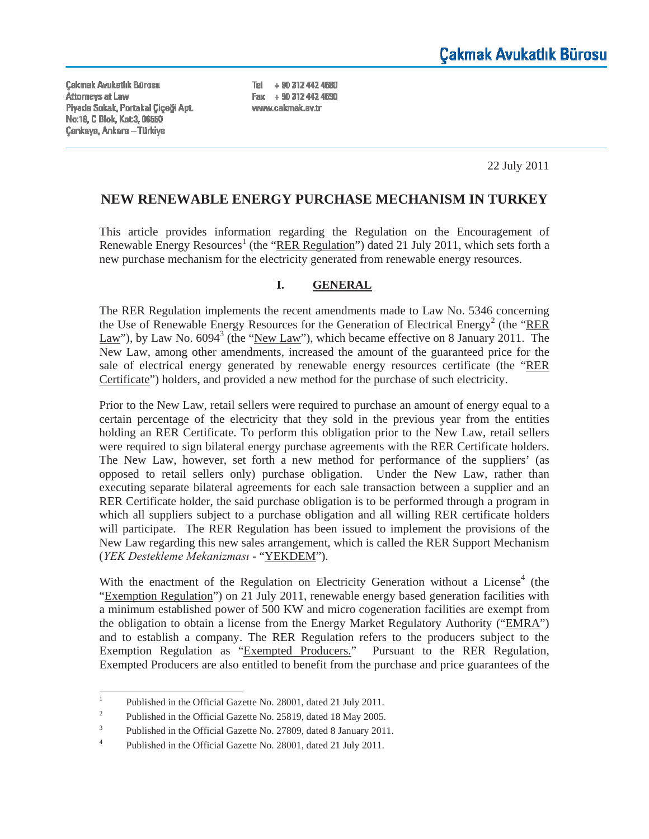**Cakmak Avukatlık Bürosu** Attorneys at Law Piyade Sokak, Portakal Çiçeği Apt. No:18, C Blok, Kat:3, 06550 **Çankaya, Ankara - Türkiye** 

Tel + 90 312 442 4680 Fax + 90 312 442 4690 www.cakmak.av.tr

22 July 2011

## **NEW RENEWABLE ENERGY PURCHASE MECHANISM IN TURKEY**

This article provides information regarding the Regulation on the Encouragement of Renewable Energy Resources<sup>1</sup> (the "RER Regulation") dated 21 July 2011, which sets forth a new purchase mechanism for the electricity generated from renewable energy resources.

#### **I. GENERAL**

The RER Regulation implements the recent amendments made to Law No. 5346 concerning the Use of Renewable Energy Resources for the Generation of Electrical Energy<sup>2</sup> (the "RER Law"), by Law No.  $6094^3$  (the "New Law"), which became effective on 8 January 2011. The New Law, among other amendments, increased the amount of the guaranteed price for the sale of electrical energy generated by renewable energy resources certificate (the "RER Certificate") holders, and provided a new method for the purchase of such electricity.

Prior to the New Law, retail sellers were required to purchase an amount of energy equal to a certain percentage of the electricity that they sold in the previous year from the entities holding an RER Certificate. To perform this obligation prior to the New Law, retail sellers were required to sign bilateral energy purchase agreements with the RER Certificate holders. The New Law, however, set forth a new method for performance of the suppliers' (as opposed to retail sellers only) purchase obligation. Under the New Law, rather than executing separate bilateral agreements for each sale transaction between a supplier and an RER Certificate holder, the said purchase obligation is to be performed through a program in which all suppliers subject to a purchase obligation and all willing RER certificate holders will participate. The RER Regulation has been issued to implement the provisions of the New Law regarding this new sales arrangement, which is called the RER Support Mechanism (*YEK Destekleme Mekanizması* - "YEKDEM").

With the enactment of the Regulation on Electricity Generation without a License $4$  (the "Exemption Regulation") on 21 July 2011, renewable energy based generation facilities with a minimum established power of 500 KW and micro cogeneration facilities are exempt from the obligation to obtain a license from the Energy Market Regulatory Authority ("EMRA") and to establish a company. The RER Regulation refers to the producers subject to the Exemption Regulation as "Exempted Producers." Pursuant to the RER Regulation, Exempted Producers are also entitled to benefit from the purchase and price guarantees of the

<sup>1</sup> Published in the Official Gazette No. 28001, dated 21 July 2011.

<sup>2</sup> Published in the Official Gazette No. 25819, dated 18 May 2005.

<sup>3</sup> Published in the Official Gazette No. 27809, dated 8 January 2011.

<sup>4</sup> Published in the Official Gazette No. 28001, dated 21 July 2011.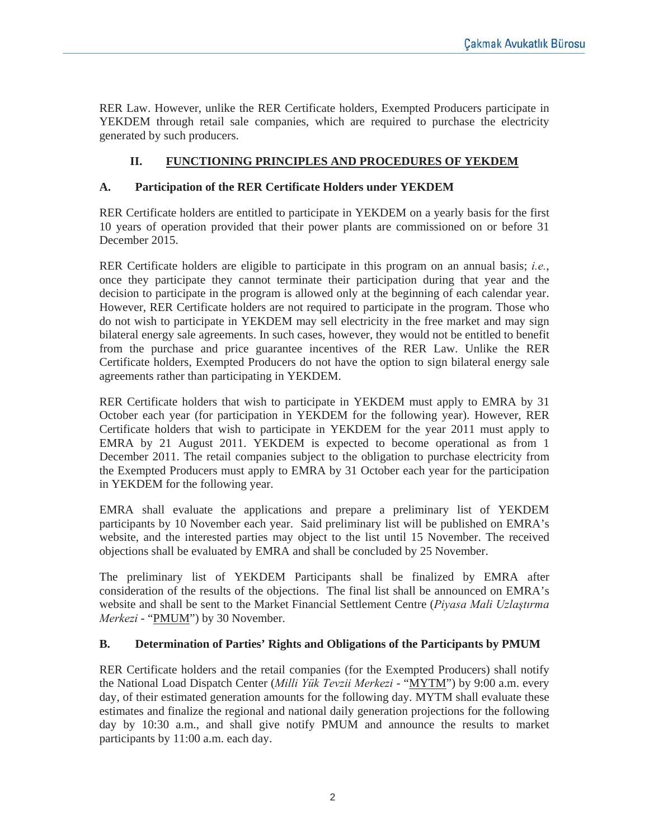RER Law. However, unlike the RER Certificate holders, Exempted Producers participate in YEKDEM through retail sale companies, which are required to purchase the electricity generated by such producers.

# **II. FUNCTIONING PRINCIPLES AND PROCEDURES OF YEKDEM**

## **A. Participation of the RER Certificate Holders under YEKDEM**

RER Certificate holders are entitled to participate in YEKDEM on a yearly basis for the first 10 years of operation provided that their power plants are commissioned on or before 31 December 2015.

RER Certificate holders are eligible to participate in this program on an annual basis; *i.e.*, once they participate they cannot terminate their participation during that year and the decision to participate in the program is allowed only at the beginning of each calendar year. However, RER Certificate holders are not required to participate in the program. Those who do not wish to participate in YEKDEM may sell electricity in the free market and may sign bilateral energy sale agreements. In such cases, however, they would not be entitled to benefit from the purchase and price guarantee incentives of the RER Law. Unlike the RER Certificate holders, Exempted Producers do not have the option to sign bilateral energy sale agreements rather than participating in YEKDEM.

RER Certificate holders that wish to participate in YEKDEM must apply to EMRA by 31 October each year (for participation in YEKDEM for the following year). However, RER Certificate holders that wish to participate in YEKDEM for the year 2011 must apply to EMRA by 21 August 2011. YEKDEM is expected to become operational as from 1 December 2011. The retail companies subject to the obligation to purchase electricity from the Exempted Producers must apply to EMRA by 31 October each year for the participation in YEKDEM for the following year.

EMRA shall evaluate the applications and prepare a preliminary list of YEKDEM participants by 10 November each year. Said preliminary list will be published on EMRA's website, and the interested parties may object to the list until 15 November. The received objections shall be evaluated by EMRA and shall be concluded by 25 November.

The preliminary list of YEKDEM Participants shall be finalized by EMRA after consideration of the results of the objections. The final list shall be announced on EMRA's website and shall be sent to the Market Financial Settlement Centre (*Piyasa Mali Uzlaştırma Merkezi* - "PMUM") by 30 November.

## **B. Determination of Parties' Rights and Obligations of the Participants by PMUM**

RER Certificate holders and the retail companies (for the Exempted Producers) shall notify the National Load Dispatch Center (*Milli Yük Tevzii Merkezi* - "MYTM") by 9:00 a.m. every day, of their estimated generation amounts for the following day. MYTM shall evaluate these estimates and finalize the regional and national daily generation projections for the following day by 10:30 a.m., and shall give notify PMUM and announce the results to market participants by 11:00 a.m. each day.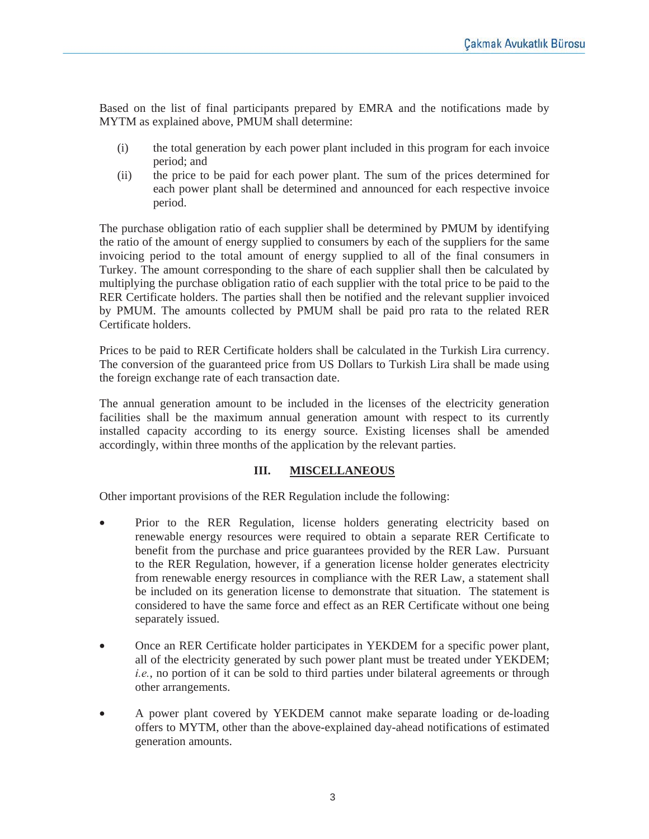Based on the list of final participants prepared by EMRA and the notifications made by MYTM as explained above, PMUM shall determine:

- (i) the total generation by each power plant included in this program for each invoice period; and
- (ii) the price to be paid for each power plant. The sum of the prices determined for each power plant shall be determined and announced for each respective invoice period.

The purchase obligation ratio of each supplier shall be determined by PMUM by identifying the ratio of the amount of energy supplied to consumers by each of the suppliers for the same invoicing period to the total amount of energy supplied to all of the final consumers in Turkey. The amount corresponding to the share of each supplier shall then be calculated by multiplying the purchase obligation ratio of each supplier with the total price to be paid to the RER Certificate holders. The parties shall then be notified and the relevant supplier invoiced by PMUM. The amounts collected by PMUM shall be paid pro rata to the related RER Certificate holders.

Prices to be paid to RER Certificate holders shall be calculated in the Turkish Lira currency. The conversion of the guaranteed price from US Dollars to Turkish Lira shall be made using the foreign exchange rate of each transaction date.

The annual generation amount to be included in the licenses of the electricity generation facilities shall be the maximum annual generation amount with respect to its currently installed capacity according to its energy source. Existing licenses shall be amended accordingly, within three months of the application by the relevant parties.

## **III. MISCELLANEOUS**

Other important provisions of the RER Regulation include the following:

- Prior to the RER Regulation, license holders generating electricity based on renewable energy resources were required to obtain a separate RER Certificate to benefit from the purchase and price guarantees provided by the RER Law. Pursuant to the RER Regulation, however, if a generation license holder generates electricity from renewable energy resources in compliance with the RER Law, a statement shall be included on its generation license to demonstrate that situation. The statement is considered to have the same force and effect as an RER Certificate without one being separately issued.
- Once an RER Certificate holder participates in YEKDEM for a specific power plant, all of the electricity generated by such power plant must be treated under YEKDEM; *i.e.*, no portion of it can be sold to third parties under bilateral agreements or through other arrangements.
- A power plant covered by YEKDEM cannot make separate loading or de-loading offers to MYTM, other than the above-explained day-ahead notifications of estimated generation amounts.